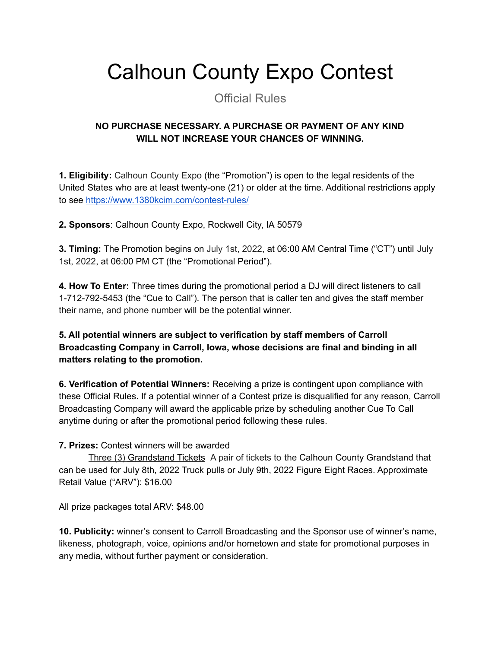## Calhoun County Expo Contest

Official Rules

## **NO PURCHASE NECESSARY. A PURCHASE OR PAYMENT OF ANY KIND WILL NOT INCREASE YOUR CHANCES OF WINNING.**

**1. Eligibility:** Calhoun County Expo (the "Promotion") is open to the legal residents of the United States who are at least twenty-one (21) or older at the time. Additional restrictions apply to see <https://www.1380kcim.com/contest-rules/>

**2. Sponsors**: Calhoun County Expo, Rockwell City, IA 50579

**3. Timing:** The Promotion begins on July 1st, 2022, at 06:00 AM Central Time ("CT") until July 1st, 2022, at 06:00 PM CT (the "Promotional Period").

**4. How To Enter:** Three times during the promotional period a DJ will direct listeners to call 1-712-792-5453 (the "Cue to Call"). The person that is caller ten and gives the staff member their name, and phone number will be the potential winner.

**5. All potential winners are subject to verification by staff members of Carroll Broadcasting Company in Carroll, Iowa, whose decisions are final and binding in all matters relating to the promotion.**

**6. Verification of Potential Winners:** Receiving a prize is contingent upon compliance with these Official Rules. If a potential winner of a Contest prize is disqualified for any reason, Carroll Broadcasting Company will award the applicable prize by scheduling another Cue To Call anytime during or after the promotional period following these rules.

## **7. Prizes:** Contest winners will be awarded

Three (3) Grandstand Tickets A pair of tickets to the Calhoun County Grandstand that can be used for July 8th, 2022 Truck pulls or July 9th, 2022 Figure Eight Races. Approximate Retail Value ("ARV"): \$16.00

All prize packages total ARV: \$48.00

**10. Publicity:** winner's consent to Carroll Broadcasting and the Sponsor use of winner's name, likeness, photograph, voice, opinions and/or hometown and state for promotional purposes in any media, without further payment or consideration.